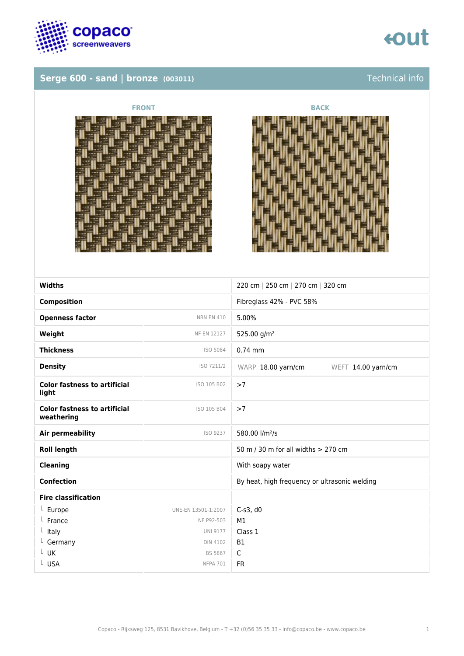

## **Serge 600 - sand | bronze (003011) Serge 600 - sand | bronze (003011) Technical info**







| <b>Widths</b>                                     |                     | 220 cm   250 cm   270 cm   320 cm             |
|---------------------------------------------------|---------------------|-----------------------------------------------|
| <b>Composition</b>                                |                     | Fibreglass 42% - PVC 58%                      |
| <b>Openness factor</b>                            | <b>NBN EN 410</b>   | 5.00%                                         |
| Weight                                            | NF EN 12127         | 525.00 g/m <sup>2</sup>                       |
| <b>Thickness</b>                                  | ISO 5084            | $0.74$ mm                                     |
| <b>Density</b>                                    | ISO 7211/2          | WARP 18.00 yarn/cm<br>WEFT 14.00 yarn/cm      |
| <b>Color fastness to artificial</b><br>light      | ISO 105 B02         | >7                                            |
| <b>Color fastness to artificial</b><br>weathering | ISO 105 B04         | >7                                            |
| <b>Air permeability</b>                           | ISO 9237            | 580.00 l/m <sup>2</sup> /s                    |
| <b>Roll length</b>                                |                     | 50 m / 30 m for all widths > 270 cm           |
| <b>Cleaning</b>                                   |                     | With soapy water                              |
| <b>Confection</b>                                 |                     | By heat, high frequency or ultrasonic welding |
| <b>Fire classification</b>                        |                     |                                               |
| $L$ Europe                                        | UNE-EN 13501-1:2007 | $C-S3, d0$                                    |
| France                                            | NF P92-503          | M1                                            |
| Italy<br>L                                        | <b>UNI 9177</b>     | Class 1                                       |
| $L$ Germany                                       | <b>DIN 4102</b>     | <b>B1</b>                                     |
| L UK                                              | <b>BS 5867</b>      | $\mathsf{C}$                                  |
| L USA                                             | <b>NFPA 701</b>     | <b>FR</b>                                     |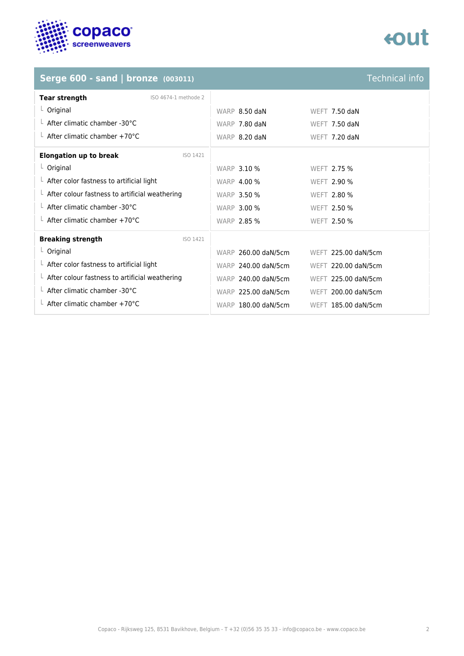

## tout

### **Serge 600 - sand | bronze (003011)** Technical info

| <b>Tear strength</b><br>ISO 4674-1 methode 2           |                                            |
|--------------------------------------------------------|--------------------------------------------|
| $L$ Original                                           | WARP 8.50 daN<br>WEFT 7.50 daN             |
| L After climatic chamber -30°C                         | WARP 7.80 daN<br>WEFT 7.50 daN             |
| $\perp$ After climatic chamber +70°C                   | WARP 8.20 daN<br>WEFT 7.20 daN             |
| <b>Elongation up to break</b><br>ISO 1421              |                                            |
| $L$ Original                                           | <b>WARP 3.10 %</b><br>WEFT 2.75 %          |
| $\perp$ After color fastness to artificial light       | <b>WARP 4.00 %</b><br><b>WEFT 2.90 %</b>   |
| $\perp$ After colour fastness to artificial weathering | <b>WARP 3.50 %</b><br><b>WEFT 2.80 %</b>   |
| $\perp$ After climatic chamber -30°C                   | <b>WARP 3.00 %</b><br><b>WEFT 2.50 %</b>   |
| $\perp$ After climatic chamber +70°C                   | <b>WARP 2.85 %</b><br><b>WEFT 2.50 %</b>   |
| <b>Breaking strength</b><br>ISO 1421                   |                                            |
| $L$ Original                                           | WARP 260.00 daN/5cm<br>WEFT 225.00 daN/5cm |
| $\perp$ After color fastness to artificial light       | WARP 240.00 daN/5cm<br>WEFT 220.00 daN/5cm |
| $\perp$ After colour fastness to artificial weathering | WARP 240.00 daN/5cm<br>WEFT 225.00 daN/5cm |
| $\perp$ After climatic chamber -30°C                   | WARP 225.00 daN/5cm<br>WEFT 200.00 daN/5cm |
| $\perp$ After climatic chamber +70°C                   | WARP 180.00 daN/5cm<br>WEFT 185.00 daN/5cm |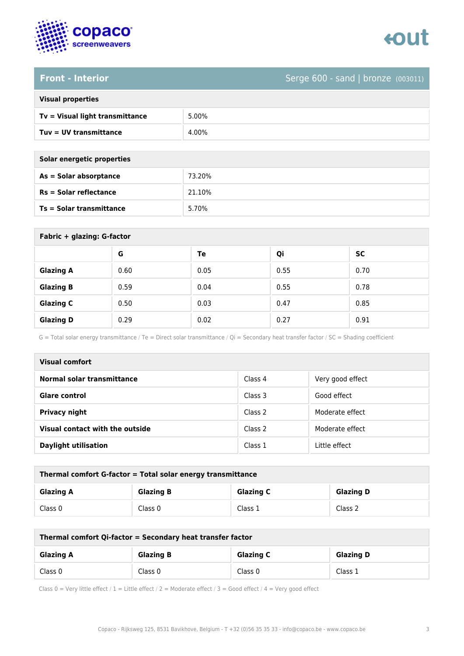



### **Front - Interior** Serge 600 - sand | bronze (003011)

| <b>Visual properties</b> |  |
|--------------------------|--|
|                          |  |

| Tv = Visual light transmittance | 5.00% |
|---------------------------------|-------|
| $Tuv = UV$ transmittance        | 4.00% |

**As = Solar absorptance** 73.20%

**Rs = Solar reflectance** 21.10%

**Ts = Solar transmittance** 5.70%

| Solar energetic properties |  |
|----------------------------|--|
| As = Solar absorptance     |  |
| Rs = Solar reflectance     |  |
| Ts = Solar transmittance   |  |

| Fabric + glazing: G-factor |      |      |      |      |
|----------------------------|------|------|------|------|
|                            | G    | Te   | Qi   | SC   |
| <b>Glazing A</b>           | 0.60 | 0.05 | 0.55 | 0.70 |
| <b>Glazing B</b>           | 0.59 | 0.04 | 0.55 | 0.78 |
| <b>Glazing C</b>           | 0.50 | 0.03 | 0.47 | 0.85 |
| <b>Glazing D</b>           | 0.29 | 0.02 | 0.27 | 0.91 |

G = Total solar energy transmittance / Te = Direct solar transmittance / Qi = Secondary heat transfer factor / SC = Shading coefficient

| Visual comfort                  |         |                  |
|---------------------------------|---------|------------------|
| Normal solar transmittance      | Class 4 | Very good effect |
| <b>Glare control</b>            | Class 3 | Good effect      |
| <b>Privacy night</b>            | Class 2 | Moderate effect  |
| Visual contact with the outside | Class 2 | Moderate effect  |
| <b>Daylight utilisation</b>     | Class 1 | Little effect    |

| Thermal comfort G-factor = Total solar energy transmittance |                  |                  |                  |
|-------------------------------------------------------------|------------------|------------------|------------------|
| <b>Glazing A</b>                                            | <b>Glazing B</b> | <b>Glazing C</b> | <b>Glazing D</b> |
| Class 0                                                     | Class 0          | Class 1          | Class 2          |

| Thermal comfort Qi-factor = Secondary heat transfer factor |                  |                  |                  |
|------------------------------------------------------------|------------------|------------------|------------------|
| <b>Glazing A</b>                                           | <b>Glazing B</b> | <b>Glazing C</b> | <b>Glazing D</b> |
| Class 0                                                    | Class 0          | Class 0          | Class 1          |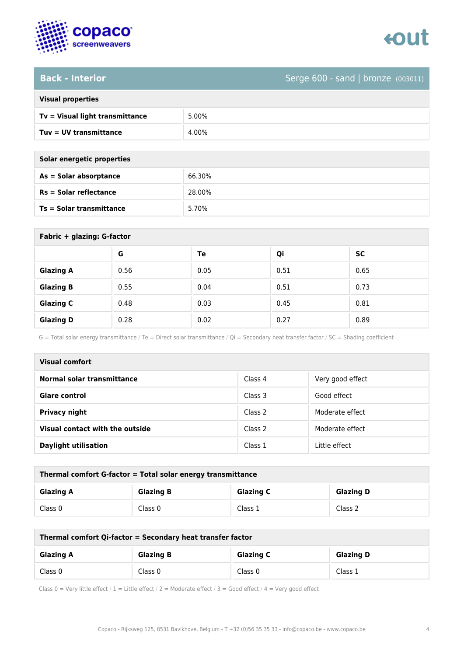

### **Back - Interior** Serge 600 - sand | bronze (003011)

| <b>Visual properties</b> |  |
|--------------------------|--|
|                          |  |

| Tv = Visual light transmittance | 5.00% |
|---------------------------------|-------|
| Tuv = UV transmittance          | 4.00% |

| Solar energetic properties      |        |
|---------------------------------|--------|
| As = Solar absorptance          | 66.30% |
| <b>Rs = Solar reflectance</b>   | 28.00% |
| <b>Ts = Solar transmittance</b> | 5.70%  |
|                                 |        |

| Fabric + glazing: G-factor |      |      |      |      |
|----------------------------|------|------|------|------|
|                            | G    | Te   | Qi   | SC   |
| <b>Glazing A</b>           | 0.56 | 0.05 | 0.51 | 0.65 |
| <b>Glazing B</b>           | 0.55 | 0.04 | 0.51 | 0.73 |
| <b>Glazing C</b>           | 0.48 | 0.03 | 0.45 | 0.81 |
| <b>Glazing D</b>           | 0.28 | 0.02 | 0.27 | 0.89 |

G = Total solar energy transmittance / Te = Direct solar transmittance / Qi = Secondary heat transfer factor / SC = Shading coefficient

| Visual comfort                  |         |                  |
|---------------------------------|---------|------------------|
| Normal solar transmittance      | Class 4 | Very good effect |
| <b>Glare control</b>            | Class 3 | Good effect      |
| <b>Privacy night</b>            | Class 2 | Moderate effect  |
| Visual contact with the outside | Class 2 | Moderate effect  |
| <b>Daylight utilisation</b>     | Class 1 | Little effect    |

| Thermal comfort G-factor = Total solar energy transmittance |                  |                  |                  |
|-------------------------------------------------------------|------------------|------------------|------------------|
| <b>Glazing A</b>                                            | <b>Glazing B</b> | <b>Glazing C</b> | <b>Glazing D</b> |
| Class 0                                                     | Class 0          | Class 1          | Class 2          |

| Thermal comfort Qi-factor = Secondary heat transfer factor |                  |                  |                  |
|------------------------------------------------------------|------------------|------------------|------------------|
| <b>Glazing A</b>                                           | <b>Glazing B</b> | <b>Glazing C</b> | <b>Glazing D</b> |
| Class 0                                                    | Class 0          | Class 0          | Class 1          |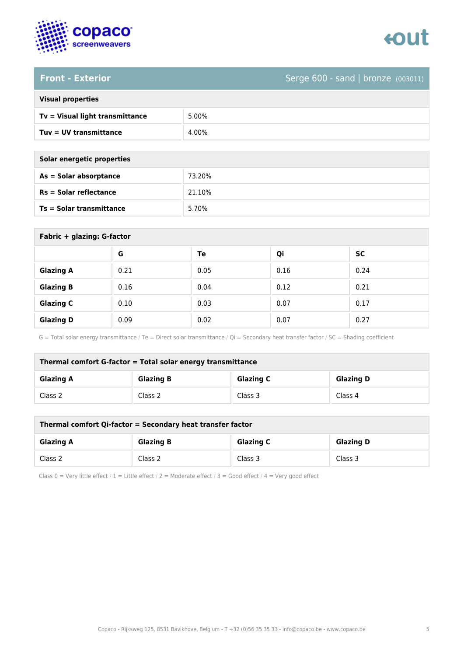

# enut

**Front - Exterior** Serge 600 - sand | bronze (003011)

| <b>Visual properties</b> |
|--------------------------|
|                          |

| Tv = Visual light transmittance | 5.00% |
|---------------------------------|-------|
| $Tuv = UV$ transmittance        | 4.00% |

| Solar energetic properties      |        |
|---------------------------------|--------|
| As = Solar absorptance          | 73.20% |
| $Rs = Solar$ reflectance        | 21.10% |
| <b>Ts = Solar transmittance</b> | 5.70%  |

| Fabric + glazing: G-factor |      |      |      |           |
|----------------------------|------|------|------|-----------|
|                            | G    | Te   | Qi   | <b>SC</b> |
| <b>Glazing A</b>           | 0.21 | 0.05 | 0.16 | 0.24      |
| <b>Glazing B</b>           | 0.16 | 0.04 | 0.12 | 0.21      |
| <b>Glazing C</b>           | 0.10 | 0.03 | 0.07 | 0.17      |
| <b>Glazing D</b>           | 0.09 | 0.02 | 0.07 | 0.27      |

G = Total solar energy transmittance / Te = Direct solar transmittance / Qi = Secondary heat transfer factor / SC = Shading coefficient

| Thermal comfort G-factor = Total solar energy transmittance |                  |                  |                  |
|-------------------------------------------------------------|------------------|------------------|------------------|
| <b>Glazing A</b>                                            | <b>Glazing B</b> | <b>Glazing C</b> | <b>Glazing D</b> |
| Class 2                                                     | Class 2          | Class 3          | Class 4          |

| Thermal comfort Qi-factor = Secondary heat transfer factor |                  |                  |                  |
|------------------------------------------------------------|------------------|------------------|------------------|
| <b>Glazing A</b>                                           | <b>Glazing B</b> | <b>Glazing C</b> | <b>Glazing D</b> |
| Class 2                                                    | Class 2          | Class 3          | Class 3          |